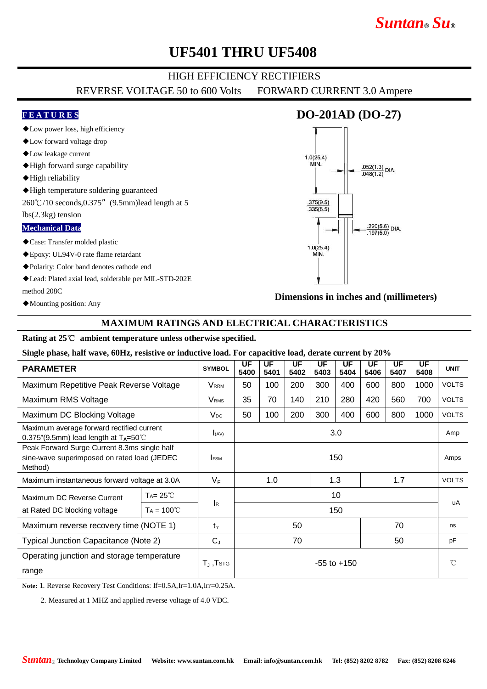# *Suntan***®** *Su***®**

## **UF5401 THRU UF5408**

### HIGH EFFICIENCY RECTIFIERS

REVERSE VOLTAGE 50 to 600 Volts FORWARD CURRENT 3.0 Ampere

#### **F E A T U R E S**

- ◆Low power loss, high efficiency
- ◆Low forward voltage drop
- ◆Low leakage current
- ◆High forward surge capability
- ◆High reliability
- ◆High temperature soldering guaranteed

260℃/10 seconds,0.375"(9.5mm)lead length at 5

#### lbs(2.3kg) tension

#### **Mechanical Data**

- ◆Case: Transfer molded plastic
- ◆Epoxy: UL94V-0 rate flame retardant
- ◆Polarity: Color band denotes cathode end
- ◆Lead: Plated axial lead, solderable per MIL-STD-202E method 208C
- ◆Mounting position: Any

### **DO-201AD (DO-27)**



**Dimensions in inches and (millimeters)**

### **MAXIMUM RATINGS AND ELECTRICAL CHARACTERISTICS**

#### **Rating at 25**℃ **ambient temperature unless otherwise specified.**

**Single phase, half wave, 60Hz, resistive or inductive load. For capacitive load, derate current by 20%**

| <b>PARAMETER</b>                                                                                       |                     | <b>SYMBOL</b>           | UF<br>5400      | UF<br>5401 | UF<br>5402 | UF<br>5403 | UF<br>5404 | UF<br>5406 | UF<br>5407   | UF<br>5408 | <b>UNIT</b>  |
|--------------------------------------------------------------------------------------------------------|---------------------|-------------------------|-----------------|------------|------------|------------|------------|------------|--------------|------------|--------------|
| Maximum Repetitive Peak Reverse Voltage                                                                |                     | <b>VRRM</b>             | 50              | 100        | 200        | 300        | 400        | 600        | 800          | 1000       | <b>VOLTS</b> |
| Maximum RMS Voltage                                                                                    |                     | <b>V</b> <sub>RMS</sub> | 35              | 70         | 140        | 210        | 280        | 420        | 560          | 700        | <b>VOLTS</b> |
| Maximum DC Blocking Voltage                                                                            |                     | $V_{DC}$                | 50              | 100        | 200        | 300        | 400        | 600        | 800          | 1000       | <b>VOLTS</b> |
| Maximum average forward rectified current<br>0.375"(9.5mm) lead length at $T_A = 50^{\circ}$ C         |                     | I(AV)                   | 3.0             |            |            |            |            |            |              |            | Amp          |
| Peak Forward Surge Current 8.3ms single half<br>sine-wave superimposed on rated load (JEDEC<br>Method) |                     | <b>IFSM</b>             | 150             |            |            |            |            |            |              |            | Amps         |
| Maximum instantaneous forward voltage at 3.0A                                                          |                     | $V_F$                   | 1.3<br>1.0      |            |            |            | 1.7        |            | <b>VOLTS</b> |            |              |
| Maximum DC Reverse Current<br>at Rated DC blocking voltage                                             | $Ta = 25^{\circ}C$  | <b>I</b> R              | 10              |            |            |            |            |            |              |            | uA           |
|                                                                                                        | $Ta = 100^{\circ}C$ |                         | 150             |            |            |            |            |            |              |            |              |
| Maximum reverse recovery time (NOTE 1)                                                                 |                     | $t_{rr}$                | 50              |            |            |            | 70         |            |              | ns         |              |
| Typical Junction Capacitance (Note 2)                                                                  |                     | $C_{J}$                 | 70<br>50        |            |            |            |            | pF         |              |            |              |
| Operating junction and storage temperature<br>range                                                    |                     | $T_J$ , $T$ stg         | $-55$ to $+150$ |            |            |            |            |            |              |            | °C           |

**Note:** 1. Reverse Recovery Test Conditions: If=0.5A,Ir=1.0A,Irr=0.25A.

2. Measured at 1 MHZ and applied reverse voltage of 4.0 VDC.